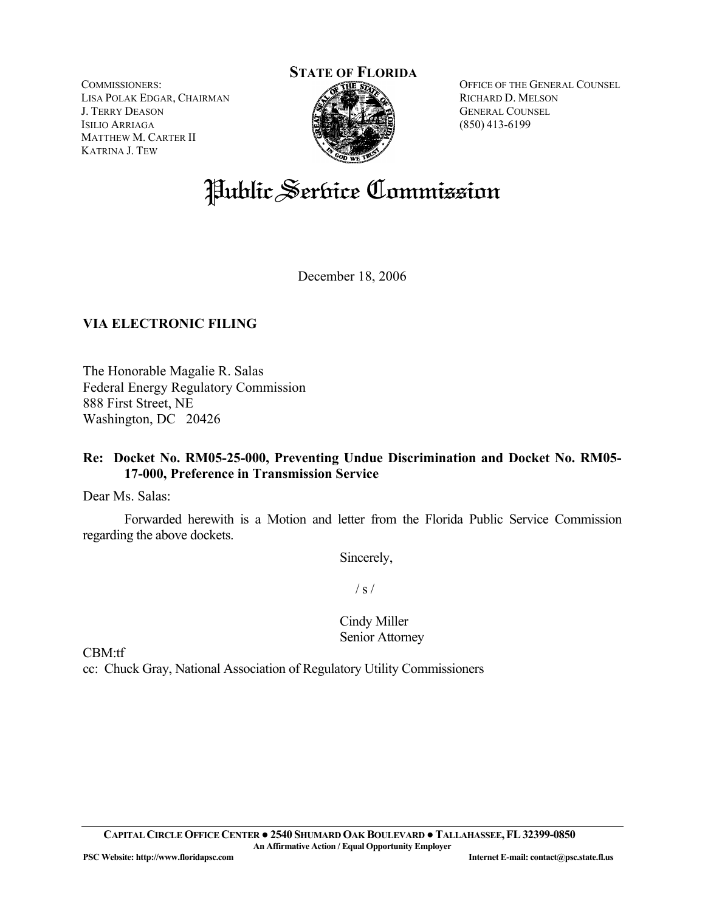**STATE OF FLORIDA**

COMMISSIONERS: LISA POLAK EDGAR, CHAIRMAN J. TERRY DEASON ISILIO ARRIAGA MATTHEW M. CARTER II KATRINA J. TEW

OFFICE OF THE GENERAL COUNSEL RICHARD D. MELSON GENERAL COUNSEL (850) 413-6199

# Public Service Commission

December 18, 2006

# **VIA ELECTRONIC FILING**

The Honorable Magalie R. Salas Federal Energy Regulatory Commission 888 First Street, NE Washington, DC 20426

## **Re: Docket No. RM05-25-000, Preventing Undue Discrimination and Docket No. RM05- 17-000, Preference in Transmission Service**

Dear Ms. Salas:

Forwarded herewith is a Motion and letter from the Florida Public Service Commission regarding the above dockets.

Sincerely,

 $/ s /$ 

Cindy Miller Senior Attorney

CBM:tf

cc: Chuck Gray, National Association of Regulatory Utility Commissioners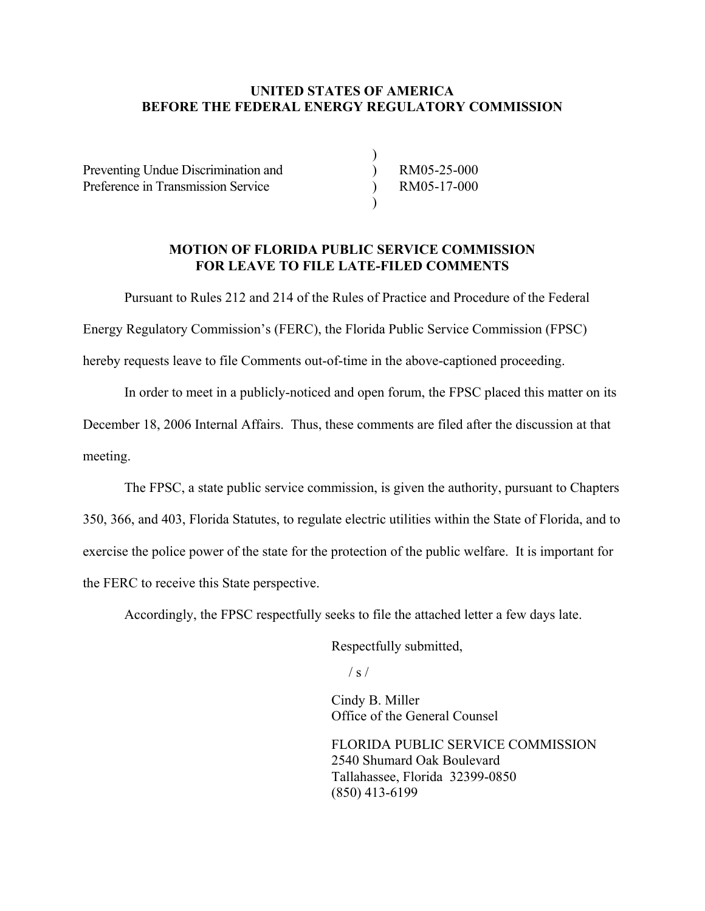#### **UNITED STATES OF AMERICA BEFORE THE FEDERAL ENERGY REGULATORY COMMISSION**

 $\overline{)}$ )  $\lambda$  $\mathcal{L}$ 

Preventing Undue Discrimination and Preference in Transmission Service

RM05-25-000 RM05-17-000

#### **MOTION OF FLORIDA PUBLIC SERVICE COMMISSION FOR LEAVE TO FILE LATE-FILED COMMENTS**

Pursuant to Rules 212 and 214 of the Rules of Practice and Procedure of the Federal

Energy Regulatory Commission's (FERC), the Florida Public Service Commission (FPSC)

hereby requests leave to file Comments out-of-time in the above-captioned proceeding.

In order to meet in a publicly-noticed and open forum, the FPSC placed this matter on its

December 18, 2006 Internal Affairs. Thus, these comments are filed after the discussion at that meeting.

 The FPSC, a state public service commission, is given the authority, pursuant to Chapters 350, 366, and 403, Florida Statutes, to regulate electric utilities within the State of Florida, and to exercise the police power of the state for the protection of the public welfare. It is important for the FERC to receive this State perspective.

Accordingly, the FPSC respectfully seeks to file the attached letter a few days late.

Respectfully submitted,

 $\frac{1}{s}$  /

 Cindy B. Miller Office of the General Counsel

 FLORIDA PUBLIC SERVICE COMMISSION 2540 Shumard Oak Boulevard Tallahassee, Florida 32399-0850 (850) 413-6199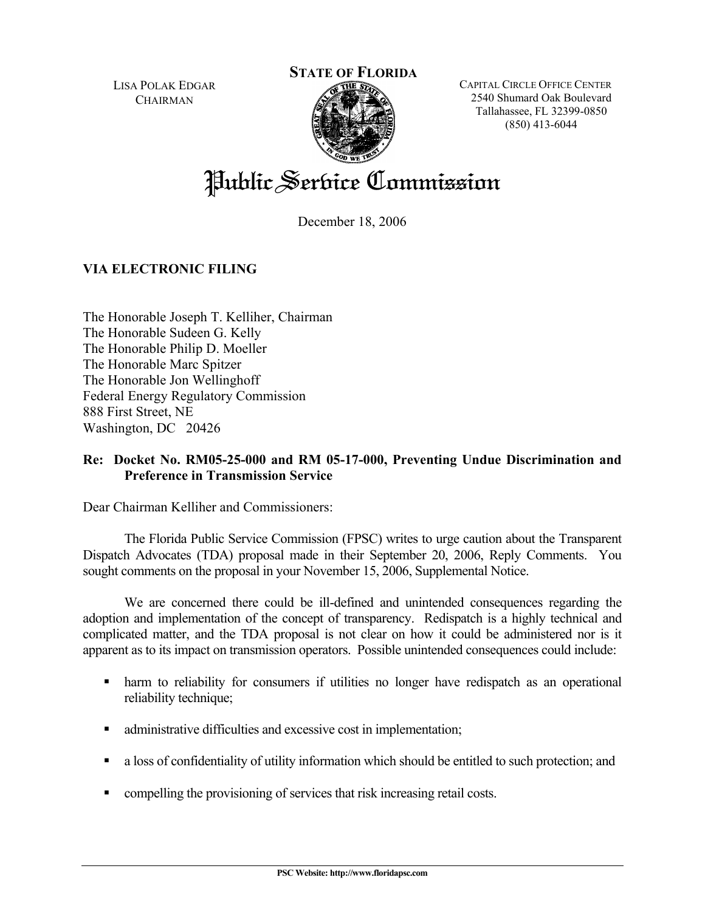LISA POLAK EDGAR **CHAIRMAN** 

### **STATE OF FLORIDA**



CAPITAL CIRCLE OFFICE CENTER 2540 Shumard Oak Boulevard Tallahassee, FL 32399-0850 (850) 413-6044

# Public Service Commission

December 18, 2006

# **VIA ELECTRONIC FILING**

The Honorable Joseph T. Kelliher, Chairman The Honorable Sudeen G. Kelly The Honorable Philip D. Moeller The Honorable Marc Spitzer The Honorable Jon Wellinghoff Federal Energy Regulatory Commission 888 First Street, NE Washington, DC 20426

## **Re: Docket No. RM05-25-000 and RM 05-17-000, Preventing Undue Discrimination and Preference in Transmission Service**

Dear Chairman Kelliher and Commissioners:

The Florida Public Service Commission (FPSC) writes to urge caution about the Transparent Dispatch Advocates (TDA) proposal made in their September 20, 2006, Reply Comments. You sought comments on the proposal in your November 15, 2006, Supplemental Notice.

We are concerned there could be ill-defined and unintended consequences regarding the adoption and implementation of the concept of transparency. Redispatch is a highly technical and complicated matter, and the TDA proposal is not clear on how it could be administered nor is it apparent as to its impact on transmission operators. Possible unintended consequences could include:

- harm to reliability for consumers if utilities no longer have redispatch as an operational reliability technique;
- administrative difficulties and excessive cost in implementation;
- a loss of confidentiality of utility information which should be entitled to such protection; and
- compelling the provisioning of services that risk increasing retail costs.